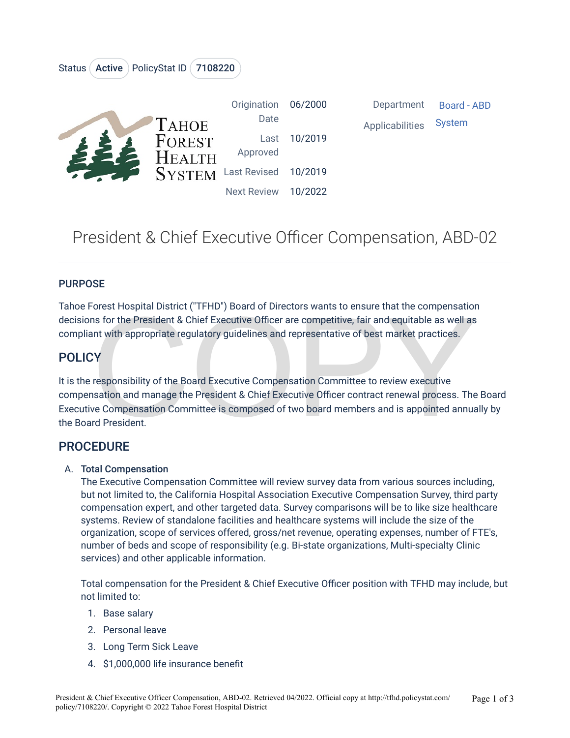

# President & Chief Executive Officer Compensation, ABD-02

#### **PURPOSE**

Tahoe Forest Hospital District ("TFHD") Board of Directors wants to ensure that the compensation decisions for the President & Chief Executive Officer are competitive, fair and equitable as well as compliant with appropriate regulatory guidelines and representative of best market practices.

### **POLICY**

Franchion and manage the President & Chief Executive Officer are competitive, fair and equitable as well as<br>ant with appropriate regulatory guidelines and representative of best market practices.<br>Contract the President & C It is the responsibility of the Board Executive Compensation Committee to review executive compensation and manage the President & Chief Executive Officer contract renewal process. The Board Executive Compensation Committee is composed of two board members and is appointed annually by the Board President.

### PROCEDURE

#### A. Total Compensation

The Executive Compensation Committee will review survey data from various sources including, but not limited to, the California Hospital Association Executive Compensation Survey, third party compensation expert, and other targeted data. Survey comparisons will be to like size healthcare systems. Review of standalone facilities and healthcare systems will include the size of the organization, scope of services offered, gross/net revenue, operating expenses, number of FTE's, number of beds and scope of responsibility (e.g. Bi-state organizations, Multi-specialty Clinic services) and other applicable information.

Total compensation for the President & Chief Executive Officer position with TFHD may include, but not limited to:

- 1. Base salary
- 2. Personal leave
- 3. Long Term Sick Leave
- 4. \$1,000,000 life insurance benefit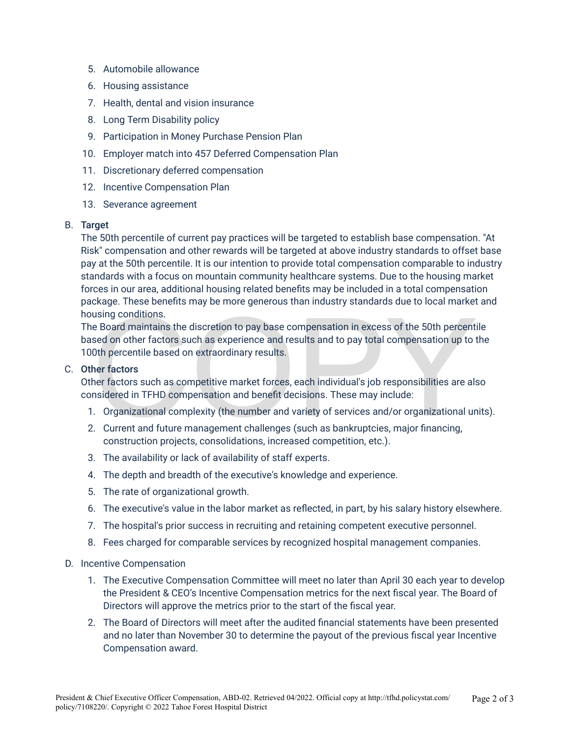- 5. Automobile allowance
- 6. Housing assistance
- 7. Health, dental and vision insurance
- 8. Long Term Disability policy
- 9. Participation in Money Purchase Pension Plan
- 10. Employer match into 457 Deferred Compensation Plan
- 11. Discretionary deferred compensation
- 12. Incentive Compensation Plan
- 13. Severance agreement

#### B. Target

The 50th percentile of current pay practices will be targeted to establish base compensation. "At Risk" compensation and other rewards will be targeted at above industry standards to offset base pay at the 50th percentile. It is our intention to provide total compensation comparable to industry standards with a focus on mountain community healthcare systems. Due to the housing market forces in our area, additional housing related benefits may be included in a total compensation package. These benefits may be more generous than industry standards due to local market and housing conditions.

using conditions.<br>
E Board maintains the discretion to pay base compensation in excess of the 50th percent<br>
sed on other factors such as experience and results and to pay total compensation up to t<br>
Oth percentile based on The Board maintains the discretion to pay base compensation in excess of the 50th percentile based on other factors such as experience and results and to pay total compensation up to the 100th percentile based on extraordinary results.

#### C. Other factors

Other factors such as competitive market forces, each individual's job responsibilities are also considered in TFHD compensation and benefit decisions. These may include:

- 1. Organizational complexity (the number and variety of services and/or organizational units).
- 2. Current and future management challenges (such as bankruptcies, major financing, construction projects, consolidations, increased competition, etc.).
- 3. The availability or lack of availability of staff experts.
- 4. The depth and breadth of the executive's knowledge and experience.
- 5. The rate of organizational growth.
- 6. The executive's value in the labor market as reflected, in part, by his salary history elsewhere.
- 7. The hospital's prior success in recruiting and retaining competent executive personnel.
- 8. Fees charged for comparable services by recognized hospital management companies.
- D. Incentive Compensation
	- 1. The Executive Compensation Committee will meet no later than April 30 each year to develop the President & CEO's Incentive Compensation metrics for the next fiscal year. The Board of Directors will approve the metrics prior to the start of the fiscal year.
	- 2. The Board of Directors will meet after the audited financial statements have been presented and no later than November 30 to determine the payout of the previous fiscal year Incentive Compensation award.